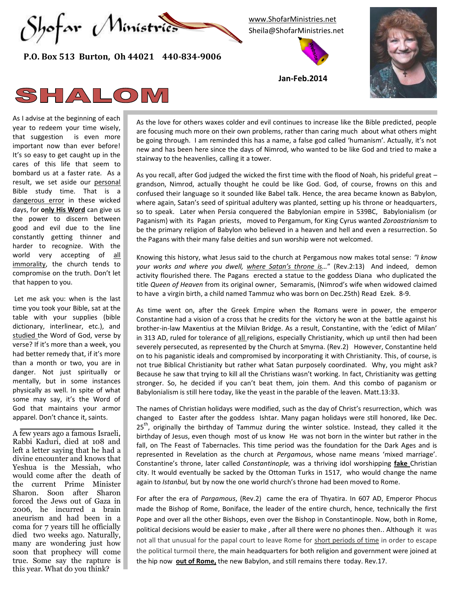

 **P.O. Box 513 Burton, Oh 44021 440-834-9006**

[www.ShofarMinistries.net](http://www.shofarministries.net/) Sheila@ShofarMinistries.net



**Jan-Feb.2014**



## SHALOM

As I advise at the beginning of each year to redeem your time wisely, that suggestion is even more important now than ever before! It's so easy to get caught up in the cares of this life that seem to bombard us at a faster rate. As a result, we set aside our personal Bible study time. That is a dangerous error in these wicked days, for **only His Word** can give us the power to discern between good and evil due to the line constantly getting thinner and harder to recognize. With the world very accepting of all immorality, the church tends to compromise on the truth. Don't let that happen to you.

Let me ask you: when is the last time you took your Bible, sat at the table with your supplies (bible dictionary, interlinear, etc.), and studied the Word of God, verse by verse? If it's more than a week, you had better remedy that, if it's more than a month or two, you are in danger. Not just spiritually or mentally, but in some instances physically as well. In spite of what some may say, it's the Word of God that maintains your armor apparel. Don't chance it, saints.

A few years ago a famous Israeli, Rabbi Kaduri, died at 108 and left a letter saying that he had a divine encounter and knows that Yeshua is the Messiah, who would come after the death of the current Prime Minister Sharon. Soon after Sharon forced the Jews out of Gaza in 2006, he incurred a brain aneurism and had been in a coma for 7 years till he officially died two weeks ago. Naturally, many are wondering just how soon that prophecy will come true. Some say the rapture is this year. What do you think?

As the love for others waxes colder and evil continues to increase like the Bible predicted, people are focusing much more on their own problems, rather than caring much about what others might be going through. I am reminded this has a name, a false god called 'humanism'. Actually, it's not new and has been here since the days of Nimrod, who wanted to be like God and tried to make a stairway to the heavenlies, calling it a tower.

As you recall, after God judged the wicked the first time with the flood of Noah, his prideful great – grandson, Nimrod, actually thought he could be like God. God, of course, frowns on this and confused their language so it sounded like Babel talk. Hence, the area became known as Babylon, where again, Satan's seed of spiritual adultery was planted, setting up his throne or headquarters, so to speak. Later when Persia conquered the Babylonian empire in 539BC, Babylonialism (or Paganism) with its Pagan priests, moved to Pergamum, for King Cyrus wanted *Zoroastrianism* to be the primary religion of Babylon who believed in a heaven and hell and even a resurrection. So the Pagans with their many false deities and sun worship were not welcomed.

Knowing this history, what Jesus said to the church at Pergamous now makes total sense: *"I know your works and where you dwell, where Satan's throne is…*" (Rev.2:13) And indeed, demon activity flourished there. The Pagans erected a statue to the goddess Diana who duplicated the title *Queen of Heaven* from its original owner, Semaramis, (Nimrod's wife when widowed claimed to have a virgin birth, a child named Tammuz who was born on Dec.25th) Read Ezek. 8-9.

As time went on, after the Greek Empire when the Romans were in power, the emperor Constantine had a vision of a cross that he credits for the victory he won at the battle against his brother-in-law Maxentius at the Milvian Bridge. As a result, Constantine, with the 'edict of Milan' in 313 AD, ruled for tolerance of all religions, especially Christianity, which up until then had been severely persecuted, as represented by the Church at Smyrna. (Rev.2) However, Constantine held on to his paganistic ideals and compromised by incorporating it with Christianity. This, of course, is not true Biblical Christianity but rather what Satan purposely coordinated. Why, you might ask? Because he saw that trying to kill all the Christians wasn't working. In fact, Christianity was getting stronger. So, he decided if you can't beat them, join them. And this combo of paganism or Babylonialism is still here today, like the yeast in the parable of the leaven. Matt.13:33.

The names of Christian holidays were modified, such as the day of Christ's resurrection, which was changed to Easter after the goddess Ishtar. Many pagan holidays were still honored, like Dec.  $25<sup>th</sup>$ , originally the birthday of Tammuz during the winter solstice. Instead, they called it the birthday of Jesus, even though most of us know He was not born in the winter but rather in the fall, on The Feast of Tabernacles. This time period was the foundation for the Dark Ages and is represented in Revelation as the church at *Pergamou*s, whose name means 'mixed marriage'. Constantine's throne, later called *Constantinople,* was a thriving idol worshipping **fake** Christian city. It would eventually be sacked by the Ottoman Turks in 1517, who would change the name again to *Istanbul,* but by now the one world church's throne had been moved to Rome.

For after the era of *Pargamous*, (Rev.2) came the era of Thyatira. In 607 AD, Emperor Phocus made the Bishop of Rome, Boniface, the leader of the entire church, hence, technically the first Pope and over all the other Bishops, even over the Bishop in Constantinople. Now, both in Rome, political decisions would be easier to make , after all there were no phones then.. Although it was not all that unusual for the papal court to leave Rome for short periods of time in order to escape the political turmoil there, the main headquarters for both religion and government were joined at the hip now **out of Rome,** the new Babylon, and still remains there today. Rev.17.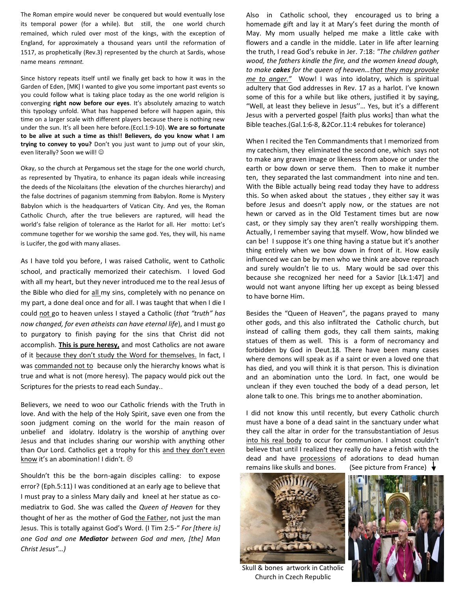The Roman empire would never be conquered but would eventually lose its temporal power (for a while). But still, the one world church remained, which ruled over most of the kings, with the exception of England, for approximately a thousand years until the reformation of 1517, as prophetically (Rev.3) represented by the church at Sardis, whose name means *remnant.*

Since history repeats itself until we finally get back to how it was in the Garden of Eden, [MK] I wanted to give you some important past events so you could follow what is taking place today as the one world religion is converging **right now before our eyes**. It's absolutely amazing to watch this typology unfold. What has happened before will happen again, this time on a larger scale with different players because there is nothing new under the sun. It's all been here before.(Eccl.1:9-10). **We are so fortunate to be alive at such a time as this!! Believers, do you know what I am trying to convey to you?** Don't you just want to jump out of your skin, even literally? Soon we will!  $\odot$ 

Okay, so the church at Pergamous set the stage for the one world church, as represented by Thyatira, to enhance its pagan ideals while increasing the deeds of the Nicolaitans (the elevation of the churches hierarchy) and the false doctrines of paganism stemming from Babylon. Rome is Mystery Babylon which is the headquarters of Vatican City. And yes, the Roman Catholic Church, after the true believers are raptured, will head the world's false religion of tolerance as the Harlot for all. Her motto: Let's commune together for we worship the same god. Yes, they will, his name is Lucifer, the god with many aliases.

As I have told you before, I was raised Catholic, went to Catholic school, and practically memorized their catechism. I loved God with all my heart, but they never introduced me to the real Jesus of the Bible who died for all my sins, completely with no penance on my part, a done deal once and for all. I was taught that when I die I could not go to heaven unless I stayed a Catholic (*that "truth" has now changed, for even atheists can have eternal life*), and I must go to purgatory to finish paying for the sins that Christ did not accomplish. **This is pure heresy,** and most Catholics are not aware of it because they don't study the Word for themselves. In fact, I was commanded not to because only the hierarchy knows what is true and what is not (more heresy). The papacy would pick out the Scriptures for the priests to read each Sunday..

Believers, we need to woo our Catholic friends with the Truth in love. And with the help of the Holy Spirit, save even one from the soon judgment coming on the world for the main reason of unbelief and idolatry. Idolatry is the worship of anything over Jesus and that includes sharing our worship with anything other than Our Lord. Catholics get a trophy for this and they don't even know it's an abomination! I didn't.  $\odot$ 

Shouldn't this be the born-again disciples calling: to expose error? (Eph.5:11) I was conditioned at an early age to believe that I must pray to a sinless Mary daily and kneel at her statue as comediatrix to God. She was called the *Queen of Heaven* for they thought of her as the mother of God the Father, not just the man Jesus. This is totally against God's Word. (I Tim 2:5-" *For [there is] one God and one Mediator between God and men, [the] Man Christ Jesus"…)*

Also in Catholic school, they encouraged us to bring a homemade gift and lay it at Mary's feet during the month of May. My mom usually helped me make a little cake with flowers and a candle in the middle. Later in life after learning the truth, I read God's rebuke in Jer. 7:18: *"The children gather wood, the fathers kindle the fire, and the women knead dough, to make cakes for the queen of heaven…that they may provoke me to anger."* Wow! I was into idolatry, which is spiritual adultery that God addresses in Rev. 17 as a harlot. I've known some of this for a while but like others, justified it by saying, "Well, at least they believe in Jesus''… Yes, but it's a different Jesus with a perverted gospel [faith plus works] than what the Bible teaches.(Gal.1:6-8, &2Cor.11:4 rebukes for tolerance)

When I recited the Ten Commandments that I memorized from my catechism, they eliminated the second one, which says not to make any graven image or likeness from above or under the earth or bow down or serve them. Then to make it number ten, they separated the last commandment into nine and ten. With the Bible actually being read today they have to address this. So when asked about the statues , they either say it was before Jesus and doesn't apply now, or the statues are not hewn or carved as in the Old Testament times but are now cast, or they simply say they aren't really worshipping them. Actually, I remember saying that myself. Wow, how blinded we can be! I suppose it's one thing having a statue but it's another thing entirely when we bow down in front of it. How easily influenced we can be by men who we think are above reproach and surely wouldn't lie to us. Mary would be sad over this because she recognized her need for a Savior [Lk.1:47] and would not want anyone lifting her up except as being blessed to have borne Him.

Besides the "Queen of Heaven", the pagans prayed to many other gods, and this also infiltrated the Catholic church, but instead of calling them gods, they call them saints, making statues of them as well. This is a form of necromancy and forbidden by God in Deut.18. There have been many cases where demons will speak as if a saint or even a loved one that has died, and you will think it is that person. This is divination and an abomination unto the Lord. In fact, one would be unclean if they even touched the body of a dead person, let alone talk to one. This brings me to another abomination.

I did not know this until recently, but every Catholic church must have a bone of a dead saint in the sanctuary under what they call the altar in order for the transubstantiation of Jesus into his real body to occur for communion. I almost couldn't believe that until I realized they really do have a fetish with the dead and have processions of adorations to dead human remains like skulls and bones. (See picture from France)



Skull & bones artwork in Catholic Church in Czech Republic